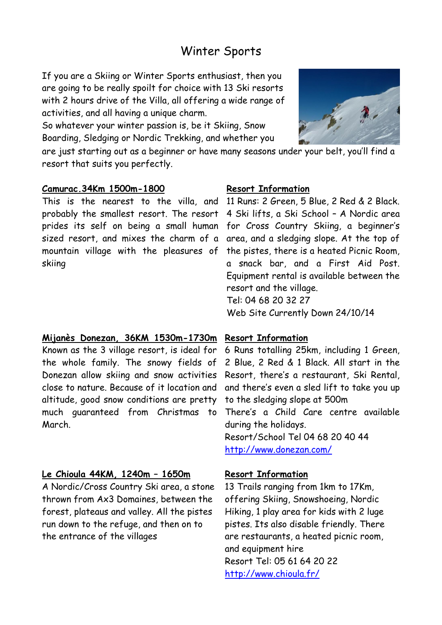# Winter Sports

If you are a Skiing or Winter Sports enthusiast, then you are going to be really spoilt for choice with 13 Ski resorts with 2 hours drive of the Villa, all offering a wide range of activities, and all having a unique charm.

So whatever your winter passion is, be it Skiing, Snow Boarding, Sledging or Nordic Trekking, and whether you

are just starting out as a beginner or have many seasons under your belt, you'll find a resort that suits you perfectly.

## **Camurac.34Km 1500m-1800**

This is the nearest to the villa, and 11 Runs: 2 Green, 5 Blue, 2 Red & 2 Black. probably the smallest resort. The resort 4 Ski lifts, a Ski School – A Nordic area prides its self on being a small human for Cross Country Skiing, a beginner's sized resort, and mixes the charm of a area, and a sledging slope. At the top of mountain village with the pleasures of skiing

# **Mijanès Donezan, 36KM 1530m-1730m**

Known as the 3 village resort, is ideal for the whole family. The snowy fields of Donezan allow skiing and snow activities close to nature. Because of it location and altitude, good snow conditions are pretty much guaranteed from Christmas to March.

# **Le Chioula 44KM, 1240m – 1650m**

A Nordic/Cross Country Ski area, a stone thrown from Ax3 Domaines, between the forest, plateaus and valley. All the pistes run down to the refuge, and then on to the entrance of the villages

#### **Resort Information**

the pistes, there is a heated Picnic Room, a snack bar, and a First Aid Post. Equipment rental is available between the resort and the village. Tel: 04 68 20 32 27 Web Site Currently Down 24/10/14

# **Resort Information**

6 Runs totalling 25km, including 1 Green, 2 Blue, 2 Red & 1 Black. All start in the Resort, there's a restaurant, Ski Rental, and there's even a sled lift to take you up to the sledging slope at 500m There's a Child Care centre available during the holidays. Resort/School Tel 04 68 20 40 44 <http://www.donezan.com/>

# **Resort Information**

13 Trails ranging from 1km to 17Km, offering Skiing, Snowshoeing, Nordic Hiking, 1 play area for kids with 2 luge pistes. Its also disable friendly. There are restaurants, a heated picnic room, and equipment hire Resort Tel: 05 61 64 20 22 <http://www.chioula.fr/>

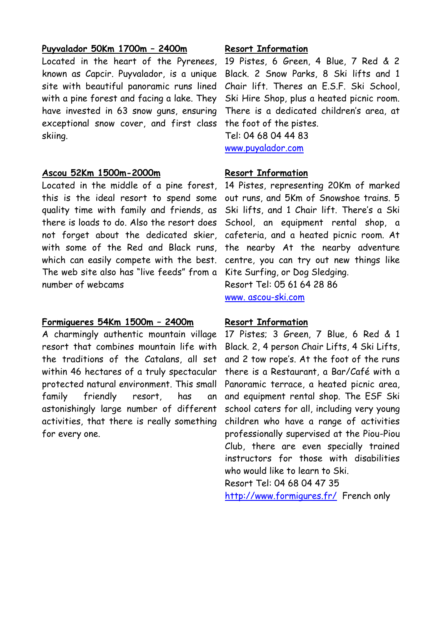## **Puyvalador 50Km 1700m – 2400m**

Located in the heart of the Pyrenees, known as Capcir. Puyvalador, is a unique site with beautiful panoramic runs lined with a pine forest and facing a lake. They have invested in 63 snow guns, ensuring exceptional snow cover, and first class skiing.

#### **Ascou 52Km 1500m-2000m**

Located in the middle of a pine forest, this is the ideal resort to spend some quality time with family and friends, as there is loads to do. Also the resort does not forget about the dedicated skier, with some of the Red and Black runs, which can easily compete with the best. The web site also has "live feeds" from a number of webcams

# **Formigueres 54Km 1500m – 2400m**

A charmingly authentic mountain village resort that combines mountain life with the traditions of the Catalans, all set within 46 hectares of a truly spectacular protected natural environment. This small family friendly resort, has an astonishingly large number of different activities, that there is really something for every one.

# **Resort Information**

19 Pistes, 6 Green, 4 Blue, 7 Red & 2 Black. 2 Snow Parks, 8 Ski lifts and 1 Chair lift. Theres an E.S.F. Ski School, Ski Hire Shop, plus a heated picnic room. There is a dedicated children's area, at the foot of the pistes. Tel: 04 68 04 44 83

[www.puyalador.com](http://www.puyvalador.com/)

# **Resort Information**

14 Pistes, representing 20Km of marked out runs, and 5Km of Snowshoe trains. 5 Ski lifts, and 1 Chair lift. There's a Ski School, an equipment rental shop, a cafeteria, and a heated picnic room. At the nearby At the nearby adventure centre, you can try out new things like Kite Surfing, or Dog Sledging. Resort Tel: 05 61 64 28 86

www. ascou-ski.com

#### **Resort Information**

17 Pistes; 3 Green, 7 Blue, 6 Red & 1 Black. 2, 4 person Chair Lifts, 4 Ski Lifts, and 2 tow rope's. At the foot of the runs there is a Restaurant, a Bar/Café with a Panoramic terrace, a heated picnic area, and equipment rental shop. The ESF Ski school caters for all, including very young children who have a range of activities professionally supervised at the Piou-Piou Club, there are even specially trained instructors for those with disabilities who would like to learn to Ski.

Resort Tel: 04 68 04 47 35

<http://www.formigures.fr/>French only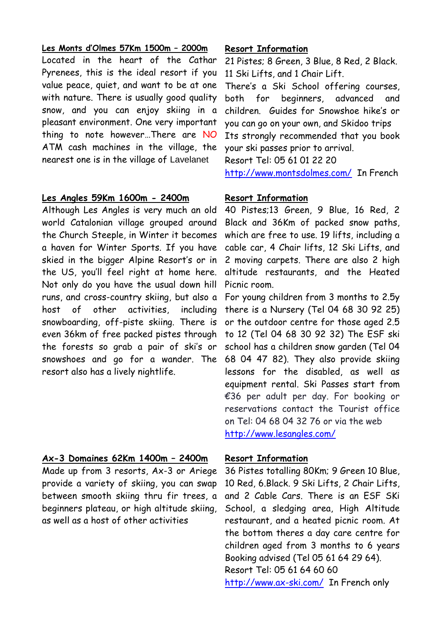#### **Les Monts d'Olmes 57Km 1500m – 2000m**

Located in the heart of the Cathar Pyrenees, this is the ideal resort if you value peace, quiet, and want to be at one with nature. There is usually good quality snow, and you can enjoy skiing in a pleasant environment. One very important thing to note however…There are NO ATM cash machines in the village, the nearest one is in the village of Lavelanet

#### **Les Angles 59Km 1600m - 2400m**

Although Les Angles is very much an old world Catalonian village grouped around the Church Steeple, in Winter it becomes a haven for Winter Sports. If you have skied in the bigger Alpine Resort's or in the US, you'll feel right at home here. Not only do you have the usual down hill runs, and cross-country skiing, but also a host of other activities, including snowboarding, off-piste skiing. There is even 36km of free packed pistes through the forests so grab a pair of ski's or snowshoes and go for a wander. The resort also has a lively nightlife.

# **Ax-3 Domaines 62Km 1400m – 2400m**

Made up from 3 resorts, Ax-3 or Ariege provide a variety of skiing, you can swap between smooth skiing thru fir trees, a beginners plateau, or high altitude skiing, as well as a host of other activities

## **Resort Information**

21 Pistes; 8 Green, 3 Blue, 8 Red, 2 Black. 11 Ski Lifts, and 1 Chair Lift.

There's a Ski School offering courses, both for beginners, advanced and children. Guides for Snowshoe hike's or you can go on your own, and Skidoo trips Its strongly recommended that you book your ski passes prior to arrival.

Resort Tel: 05 61 01 22 20

<http://www.montsdolmes.com/>In French

## **Resort Information**

40 Pistes;13 Green, 9 Blue, 16 Red, 2 Black and 36Km of packed snow paths, which are free to use. 19 lifts, including a cable car, 4 Chair lifts, 12 Ski Lifts, and 2 moving carpets. There are also 2 high altitude restaurants, and the Heated Picnic room.

For young children from 3 months to 2.5y there is a Nursery (Tel 04 68 30 92 25) or the outdoor centre for those aged 2.5 to 12 (Tel 04 68 30 92 32) The ESF ski school has a children snow garden (Tel 04 68 04 47 82). They also provide skiing lessons for the disabled, as well as equipment rental. Ski Passes start from €36 per adult per day. For booking or reservations contact the Tourist office on Tel: 04 68 04 32 76 or via the web <http://www.lesangles.com/>

#### **Resort Information**

36 Pistes totalling 80Km; 9 Green 10 Blue, 10 Red, 6.Black. 9 Ski Lifts, 2 Chair Lifts, and 2 Cable Cars. There is an ESF SKi School, a sledging area, High Altitude restaurant, and a heated picnic room. At the bottom theres a day care centre for children aged from 3 months to 6 years Booking advised (Tel 05 61 64 29 64). Resort Tel: 05 61 64 60 60 <http://www.ax-ski.com/>In French only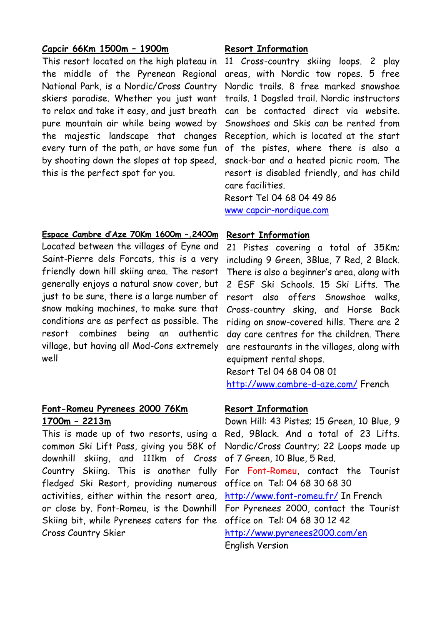# **Capcir 66Km 1500m – 1900m**

This resort located on the high plateau in the middle of the Pyrenean Regional National Park, is a Nordic/Cross Country skiers paradise. Whether you just want to relax and take it easy, and just breath pure mountain air while being wowed by the majestic landscape that changes every turn of the path, or have some fun by shooting down the slopes at top speed, this is the perfect spot for you.

## **Espace Cambre d'Aze 70Km 1600m –.2400m**

Located between the villages of Eyne and Saint-Pierre dels Forcats, this is a very friendly down hill skiing area. The resort generally enjoys a natural snow cover, but just to be sure, there is a large number of snow making machines, to make sure that conditions are as perfect as possible. The resort combines being an authentic village, but having all Mod-Cons extremely well

# **Font-Romeu Pyrenees 2000 76Km 1700m – 2213m**

This is made up of two resorts, using a common Ski Lift Pass, giving you 58K of downhill skiing, and 111km of Cross Country Skiing. This is another fully fledged Ski Resort, providing numerous activities, either within the resort area, or close by. Font-Romeu, is the Downhill For Pyrenees 2000, contact the Tourist Skiing bit, while Pyrenees caters for the Cross Country Skier

# **Resort Information**

11 Cross-country skiing loops. 2 play areas, with Nordic tow ropes. 5 free Nordic trails. 8 free marked snowshoe trails. 1 Dogsled trail. Nordic instructors can be contacted direct via website. Snowshoes and Skis can be rented from Reception, which is located at the start of the pistes, where there is also a snack-bar and a heated picnic room. The resort is disabled friendly, and has child care facilities.

Resort Tel 04 68 04 49 86 [www capcir-nordique.com](www%20capcir-nordique.com)

## **Resort Information**

21 Pistes covering a total of 35Km; including 9 Green, 3Blue, 7 Red, 2 Black. There is also a beginner's area, along with 2 ESF Ski Schools. 15 Ski Lifts. The resort also offers Snowshoe walks, Cross-country sking, and Horse Back riding on snow-covered hills. There are 2 day care centres for the children. There are restaurants in the villages, along with equipment rental shops.

Resort Tel 04 68 04 08 01

<http://www.cambre-d-aze.com/> French

# **Resort Information**

Down Hill: 43 Pistes; 15 Green, 10 Blue, 9 Red, 9Black. And a total of 23 Lifts. Nordic/Cross Country; 22 Loops made up of 7 Green, 10 Blue, 5 Red. For Font-Romeu, contact the Tourist office on Tel: 04 68 30 68 30 <http://www.font-romeu.fr/> In French office on Tel: 04 68 30 12 42 <http://www.pyrenees2000.com/en> English Version